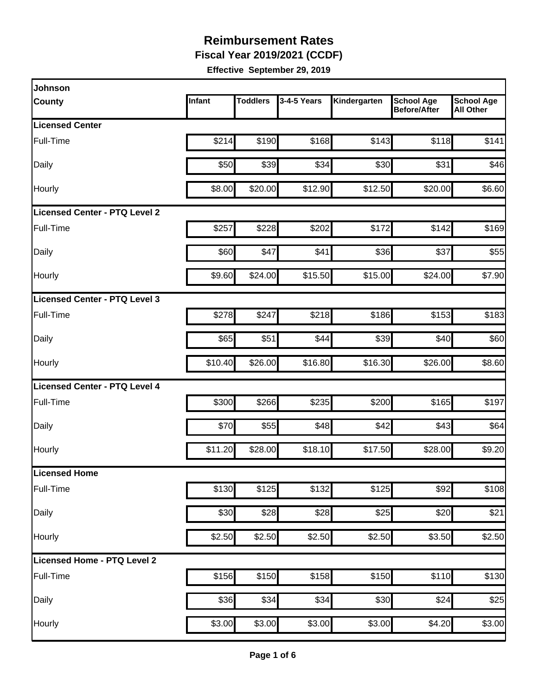**Fiscal Year 2019/2021 (CCDF)** 

| Johnson                              |         |                 |             |              |                                          |                                       |
|--------------------------------------|---------|-----------------|-------------|--------------|------------------------------------------|---------------------------------------|
| <b>County</b>                        | Infant  | <b>Toddlers</b> | 3-4-5 Years | Kindergarten | <b>School Age</b><br><b>Before/After</b> | <b>School Age</b><br><b>All Other</b> |
| <b>Licensed Center</b>               |         |                 |             |              |                                          |                                       |
| Full-Time                            | \$214   | \$190           | \$168       | \$143        | \$118                                    | \$141                                 |
| Daily                                | \$50    | \$39            | \$34        | \$30         | \$31                                     | \$46                                  |
| Hourly                               | \$8.00  | \$20.00         | \$12.90     | \$12.50      | \$20.00                                  | \$6.60                                |
| <b>Licensed Center - PTQ Level 2</b> |         |                 |             |              |                                          |                                       |
| Full-Time                            | \$257   | \$228           | \$202       | \$172        | \$142                                    | \$169                                 |
| Daily                                | \$60    | \$47            | \$41        | \$36         | \$37                                     | \$55                                  |
| Hourly                               | \$9.60  | \$24.00         | \$15.50     | \$15.00      | \$24.00                                  | \$7.90                                |
| Licensed Center - PTQ Level 3        |         |                 |             |              |                                          |                                       |
| <b>Full-Time</b>                     | \$278   | \$247           | \$218       | \$186        | \$153                                    | \$183                                 |
| Daily                                | \$65    | \$51            | \$44        | \$39         | \$40                                     | \$60                                  |
| Hourly                               | \$10.40 | \$26.00         | \$16.80     | \$16.30      | \$26.00                                  | \$8.60                                |
| <b>Licensed Center - PTQ Level 4</b> |         |                 |             |              |                                          |                                       |
| Full-Time                            | \$300   | \$266           | \$235       | \$200        | \$165                                    | \$197                                 |
| Daily                                | \$70    | \$55            | \$48        | \$42         | \$43                                     | \$64                                  |
| Hourly                               | \$11.20 | \$28.00         | \$18.10     | \$17.50      | \$28.00                                  | \$9.20                                |
| Licensed Home                        |         |                 |             |              |                                          |                                       |
| Full-Time                            | \$130   | \$125           | \$132       | \$125        | \$92                                     | \$108                                 |
| Daily                                | \$30    | \$28            | \$28        | \$25         | \$20                                     | \$21                                  |
| Hourly                               | \$2.50  | \$2.50          | \$2.50      | \$2.50       | \$3.50                                   | \$2.50                                |
| Licensed Home - PTQ Level 2          |         |                 |             |              |                                          |                                       |
| Full-Time                            | \$156   | \$150           | \$158       | \$150        | \$110                                    | \$130                                 |
| Daily                                | \$36    | \$34            | \$34        | \$30         | \$24                                     | \$25                                  |
| Hourly                               | \$3.00  | \$3.00          | \$3.00      | \$3.00       | \$4.20                                   | \$3.00                                |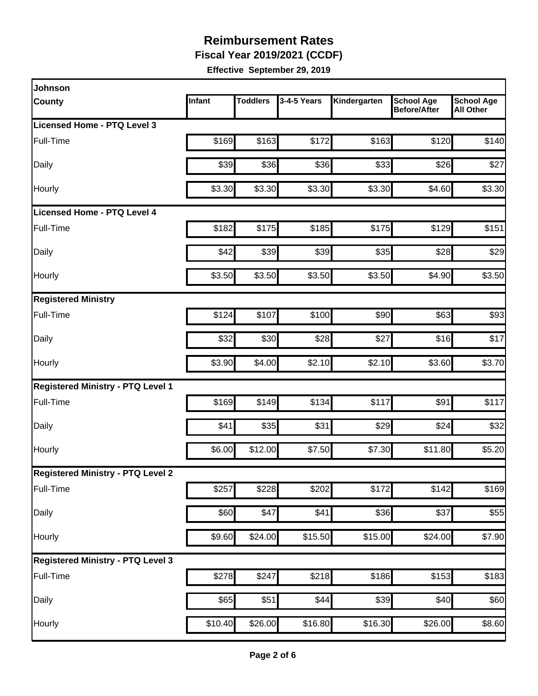**Fiscal Year 2019/2021 (CCDF)** 

| <b>Johnson</b>                           |         |                 |             |              |                                   |                                       |
|------------------------------------------|---------|-----------------|-------------|--------------|-----------------------------------|---------------------------------------|
| <b>County</b>                            | Infant  | <b>Toddlers</b> | 3-4-5 Years | Kindergarten | <b>School Age</b><br>Before/After | <b>School Age</b><br><b>All Other</b> |
| Licensed Home - PTQ Level 3              |         |                 |             |              |                                   |                                       |
| Full-Time                                | \$169   | \$163           | \$172       | \$163        | \$120                             | \$140                                 |
| Daily                                    | \$39    | \$36            | \$36        | \$33         | \$26                              | \$27                                  |
| Hourly                                   | \$3.30  | \$3.30          | \$3.30      | \$3.30       | \$4.60                            | \$3.30                                |
| <b>Licensed Home - PTQ Level 4</b>       |         |                 |             |              |                                   |                                       |
| Full-Time                                | \$182   | \$175           | \$185       | \$175        | \$129                             | \$151                                 |
| Daily                                    | \$42    | \$39            | \$39        | \$35         | \$28                              | \$29                                  |
| Hourly                                   | \$3.50  | \$3.50          | \$3.50      | \$3.50       | \$4.90                            | \$3.50                                |
| <b>Registered Ministry</b>               |         |                 |             |              |                                   |                                       |
| Full-Time                                | \$124   | \$107           | \$100       | \$90         | \$63                              | \$93                                  |
| Daily                                    | \$32    | \$30            | \$28        | \$27         | \$16                              | \$17                                  |
| Hourly                                   | \$3.90  | \$4.00          | \$2.10      | \$2.10       | \$3.60                            | \$3.70                                |
| <b>Registered Ministry - PTQ Level 1</b> |         |                 |             |              |                                   |                                       |
| Full-Time                                | \$169   | \$149           | \$134       | \$117        | \$91                              | \$117                                 |
| Daily                                    | \$41    | \$35            | \$31        | \$29         | \$24                              | \$32                                  |
| Hourly                                   | \$6.00  | \$12.00         | \$7.50      | \$7.30       | \$11.80                           | \$5.20                                |
| <b>Registered Ministry - PTQ Level 2</b> |         |                 |             |              |                                   |                                       |
| Full-Time                                | \$257   | \$228           | \$202       | \$172        | \$142                             | \$169                                 |
| Daily                                    | \$60    | \$47            | \$41        | \$36         | \$37                              | \$55                                  |
| Hourly                                   | \$9.60  | \$24.00         | \$15.50     | \$15.00      | \$24.00                           | \$7.90                                |
| <b>Registered Ministry - PTQ Level 3</b> |         |                 |             |              |                                   |                                       |
| Full-Time                                | \$278   | \$247           | \$218       | \$186        | \$153                             | \$183                                 |
| Daily                                    | \$65    | \$51            | \$44        | \$39         | \$40                              | \$60                                  |
| Hourly                                   | \$10.40 | \$26.00         | \$16.80     | \$16.30      | \$26.00                           | \$8.60                                |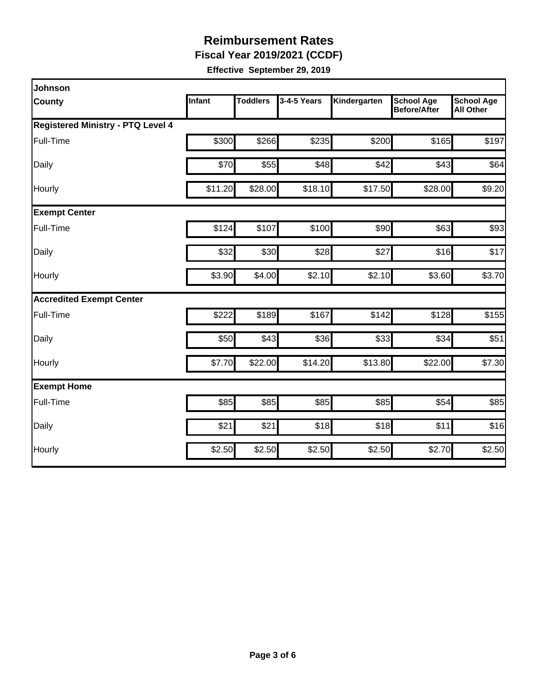**Fiscal Year 2019/2021 (CCDF)** 

| <b>Johnson</b>                           |               |                 |             |              |                                   |                                       |  |  |  |
|------------------------------------------|---------------|-----------------|-------------|--------------|-----------------------------------|---------------------------------------|--|--|--|
| <b>County</b>                            | <b>Infant</b> | <b>Toddlers</b> | 3-4-5 Years | Kindergarten | <b>School Age</b><br>Before/After | <b>School Age</b><br><b>All Other</b> |  |  |  |
| <b>Registered Ministry - PTQ Level 4</b> |               |                 |             |              |                                   |                                       |  |  |  |
| Full-Time                                | \$300         | \$266           | \$235       | \$200        | \$165                             | \$197                                 |  |  |  |
| Daily                                    | \$70          | \$55            | \$48        | \$42         | \$43                              | \$64                                  |  |  |  |
| Hourly                                   | \$11.20       | \$28.00         | \$18.10     | \$17.50      | \$28.00                           | \$9.20                                |  |  |  |
| <b>Exempt Center</b>                     |               |                 |             |              |                                   |                                       |  |  |  |
| Full-Time                                | \$124         | \$107           | \$100       | \$90         | \$63                              | \$93                                  |  |  |  |
| Daily                                    | \$32          | \$30            | \$28        | \$27         | \$16                              | \$17                                  |  |  |  |
| Hourly                                   | \$3.90        | \$4.00          | \$2.10      | \$2.10       | \$3.60                            | \$3.70                                |  |  |  |
| <b>Accredited Exempt Center</b>          |               |                 |             |              |                                   |                                       |  |  |  |
| Full-Time                                | \$222         | \$189           | \$167       | \$142        | \$128                             | \$155                                 |  |  |  |
| Daily                                    | \$50          | \$43            | \$36        | \$33         | \$34                              | \$51                                  |  |  |  |
| Hourly                                   | \$7.70        | \$22.00         | \$14.20     | \$13.80      | \$22.00                           | \$7.30                                |  |  |  |
| <b>Exempt Home</b>                       |               |                 |             |              |                                   |                                       |  |  |  |
| Full-Time                                | \$85          | \$85            | \$85        | \$85         | \$54                              | \$85                                  |  |  |  |
| Daily                                    | \$21          | \$21            | \$18        | \$18         | \$11                              | \$16                                  |  |  |  |
| Hourly                                   | \$2.50        | \$2.50          | \$2.50      | \$2.50       | \$2.70                            | \$2.50                                |  |  |  |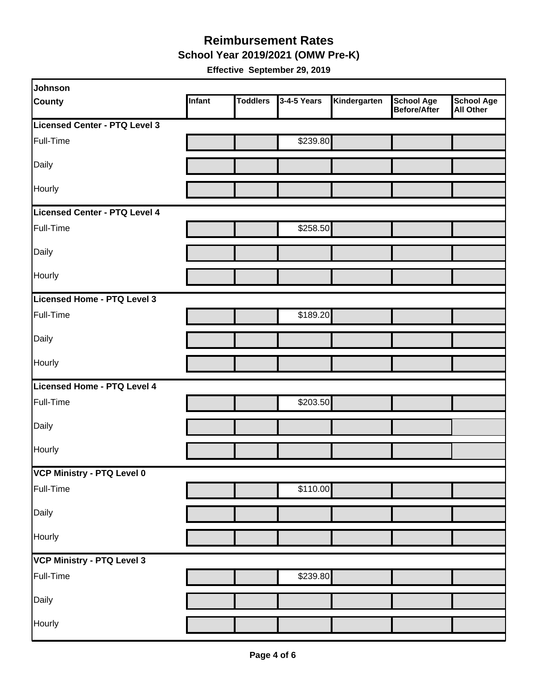#### **Reimbursement Rates School Year 2019/2021 (OMW Pre-K)**

| Johnson                       |        |                 |             |              |                                   |                                       |
|-------------------------------|--------|-----------------|-------------|--------------|-----------------------------------|---------------------------------------|
| <b>County</b>                 | Infant | <b>Toddlers</b> | 3-4-5 Years | Kindergarten | <b>School Age</b><br>Before/After | <b>School Age</b><br><b>All Other</b> |
| Licensed Center - PTQ Level 3 |        |                 |             |              |                                   |                                       |
| Full-Time                     |        |                 | \$239.80    |              |                                   |                                       |
| Daily                         |        |                 |             |              |                                   |                                       |
| Hourly                        |        |                 |             |              |                                   |                                       |
| Licensed Center - PTQ Level 4 |        |                 |             |              |                                   |                                       |
| Full-Time                     |        |                 | \$258.50    |              |                                   |                                       |
| Daily                         |        |                 |             |              |                                   |                                       |
| Hourly                        |        |                 |             |              |                                   |                                       |
| Licensed Home - PTQ Level 3   |        |                 |             |              |                                   |                                       |
| Full-Time                     |        |                 | \$189.20    |              |                                   |                                       |
| Daily                         |        |                 |             |              |                                   |                                       |
| Hourly                        |        |                 |             |              |                                   |                                       |
| Licensed Home - PTQ Level 4   |        |                 |             |              |                                   |                                       |
| Full-Time                     |        |                 | \$203.50    |              |                                   |                                       |
| Daily                         |        |                 |             |              |                                   |                                       |
| Hourly                        |        |                 |             |              |                                   |                                       |
| VCP Ministry - PTQ Level 0    |        |                 |             |              |                                   |                                       |
| Full-Time                     |        |                 | \$110.00    |              |                                   |                                       |
| Daily                         |        |                 |             |              |                                   |                                       |
| Hourly                        |        |                 |             |              |                                   |                                       |
| VCP Ministry - PTQ Level 3    |        |                 |             |              |                                   |                                       |
| Full-Time                     |        |                 | \$239.80    |              |                                   |                                       |
| Daily                         |        |                 |             |              |                                   |                                       |
| Hourly                        |        |                 |             |              |                                   |                                       |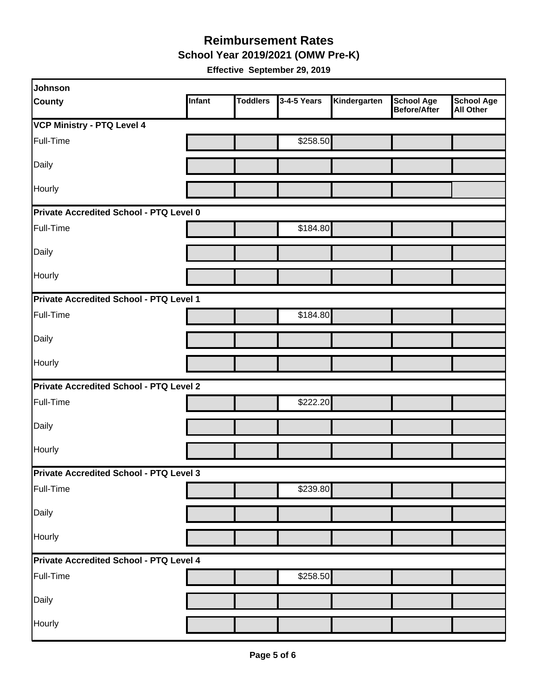**School Year 2019/2021 (OMW Pre-K)** 

| Johnson                                        |        |                 |             |              |                                          |                                       |  |  |
|------------------------------------------------|--------|-----------------|-------------|--------------|------------------------------------------|---------------------------------------|--|--|
| <b>County</b>                                  | Infant | <b>Toddlers</b> | 3-4-5 Years | Kindergarten | <b>School Age</b><br><b>Before/After</b> | <b>School Age</b><br><b>All Other</b> |  |  |
| <b>VCP Ministry - PTQ Level 4</b>              |        |                 |             |              |                                          |                                       |  |  |
| Full-Time                                      |        |                 | \$258.50    |              |                                          |                                       |  |  |
| Daily                                          |        |                 |             |              |                                          |                                       |  |  |
| Hourly                                         |        |                 |             |              |                                          |                                       |  |  |
| Private Accredited School - PTQ Level 0        |        |                 |             |              |                                          |                                       |  |  |
| Full-Time                                      |        |                 | \$184.80    |              |                                          |                                       |  |  |
| Daily                                          |        |                 |             |              |                                          |                                       |  |  |
| Hourly                                         |        |                 |             |              |                                          |                                       |  |  |
| Private Accredited School - PTQ Level 1        |        |                 |             |              |                                          |                                       |  |  |
| Full-Time                                      |        |                 | \$184.80    |              |                                          |                                       |  |  |
| Daily                                          |        |                 |             |              |                                          |                                       |  |  |
| Hourly                                         |        |                 |             |              |                                          |                                       |  |  |
| <b>Private Accredited School - PTQ Level 2</b> |        |                 |             |              |                                          |                                       |  |  |
| Full-Time                                      |        |                 | \$222.20    |              |                                          |                                       |  |  |
| Daily                                          |        |                 |             |              |                                          |                                       |  |  |
| Hourly                                         |        |                 |             |              |                                          |                                       |  |  |
| Private Accredited School - PTQ Level 3        |        |                 |             |              |                                          |                                       |  |  |
| Full-Time                                      |        |                 | \$239.80    |              |                                          |                                       |  |  |
| Daily                                          |        |                 |             |              |                                          |                                       |  |  |
| Hourly                                         |        |                 |             |              |                                          |                                       |  |  |
| Private Accredited School - PTQ Level 4        |        |                 |             |              |                                          |                                       |  |  |
| Full-Time                                      |        |                 | \$258.50    |              |                                          |                                       |  |  |
| Daily                                          |        |                 |             |              |                                          |                                       |  |  |
| Hourly                                         |        |                 |             |              |                                          |                                       |  |  |